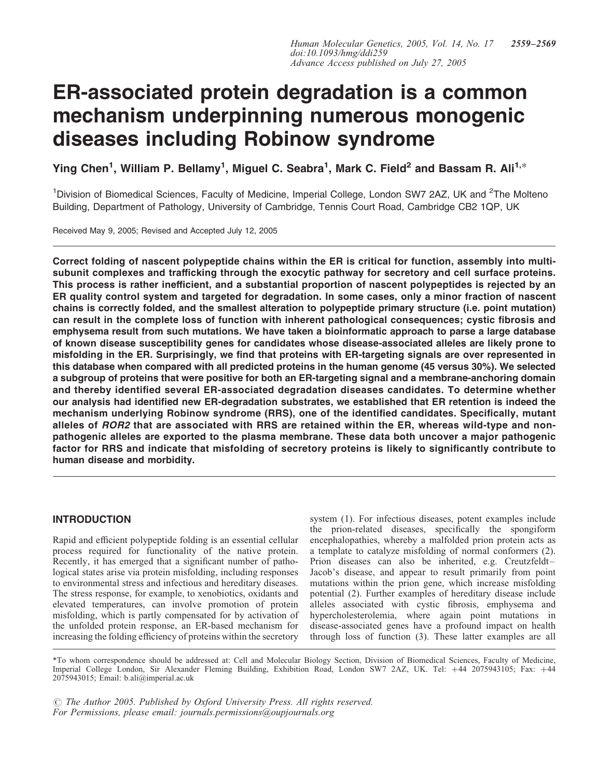# ER-associated protein degradation is a common mechanism underpinning numerous monogenic diseases including Robinow syndrome

Ying Chen<sup>1</sup>, William P. Bellamy<sup>1</sup>, Miguel C. Seabra<sup>1</sup>, Mark C. Field<sup>2</sup> and Bassam R. Ali<sup>1,</sup>\*

<sup>1</sup>Division of Biomedical Sciences, Faculty of Medicine, Imperial College, London SW7 2AZ, UK and <sup>2</sup>The Molteno Building, Department of Pathology, University of Cambridge, Tennis Court Road, Cambridge CB2 1QP, UK

Received May 9, 2005; Revised and Accepted July 12, 2005

Correct folding of nascent polypeptide chains within the ER is critical for function, assembly into multisubunit complexes and trafficking through the exocytic pathway for secretory and cell surface proteins. This process is rather inefficient, and a substantial proportion of nascent polypeptides is rejected by an ER quality control system and targeted for degradation. In some cases, only a minor fraction of nascent chains is correctly folded, and the smallest alteration to polypeptide primary structure (i.e. point mutation) can result in the complete loss of function with inherent pathological consequences; cystic fibrosis and emphysema result from such mutations. We have taken a bioinformatic approach to parse a large database of known disease susceptibility genes for candidates whose disease-associated alleles are likely prone to misfolding in the ER. Surprisingly, we find that proteins with ER-targeting signals are over represented in this database when compared with all predicted proteins in the human genome (45 versus 30%). We selected a subgroup of proteins that were positive for both an ER-targeting signal and a membrane-anchoring domain and thereby identified several ER-associated degradation diseases candidates. To determine whether our analysis had identified new ER-degradation substrates, we established that ER retention is indeed the mechanism underlying Robinow syndrome (RRS), one of the identified candidates. Specifically, mutant alleles of ROR2 that are associated with RRS are retained within the ER, whereas wild-type and nonpathogenic alleles are exported to the plasma membrane. These data both uncover a major pathogenic factor for RRS and indicate that misfolding of secretory proteins is likely to significantly contribute to human disease and morbidity.

# INTRODUCTION

Rapid and efficient polypeptide folding is an essential cellular process required for functionality of the native protein. Recently, it has emerged that a significant number of pathological states arise via protein misfolding, including responses to environmental stress and infectious and hereditary diseases. The stress response, for example, to xenobiotics, oxidants and elevated temperatures, can involve promotion of protein misfolding, which is partly compensated for by activation of the unfolded protein response, an ER-based mechanism for increasing the folding efficiency of proteins within the secretory

system (1). For infectious diseases, potent examples include the prion-related diseases, specifically the spongiform encephalopathies, whereby a malfolded prion protein acts as a template to catalyze misfolding of normal conformers (2). Prion diseases can also be inherited, e.g. Creutzfeldt– Jacob's disease, and appear to result primarily from point mutations within the prion gene, which increase misfolding potential (2). Further examples of hereditary disease include alleles associated with cystic fibrosis, emphysema and hypercholesterolemia, where again point mutations in disease-associated genes have a profound impact on health through loss of function (3). These latter examples are all

\*To whom correspondence should be addressed at: Cell and Molecular Biology Section, Division of Biomedical Sciences, Faculty of Medicine, Imperial College London, Sir Alexander Fleming Building, Exhibition Road, London SW7 2AZ, UK. Tel: +44 2075943105; Fax: +44 2075943015; Email: b.ali@imperial.ac.uk

 $\odot$  The Author 2005. Published by Oxford University Press. All rights reserved. For Permissions, please email: journals.permissions@oupjournals.org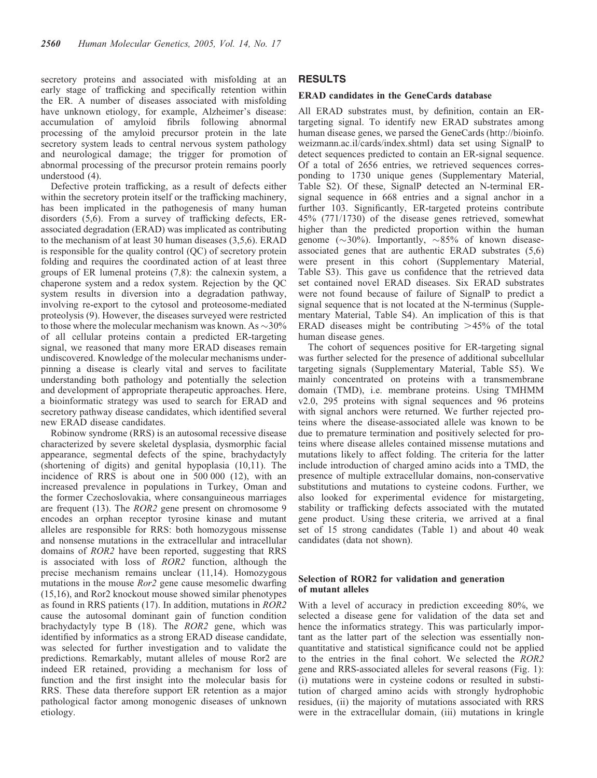secretory proteins and associated with misfolding at an early stage of trafficking and specifically retention within the ER. A number of diseases associated with misfolding have unknown etiology, for example, Alzheimer's disease: accumulation of amyloid fibrils following abnormal processing of the amyloid precursor protein in the late secretory system leads to central nervous system pathology and neurological damage; the trigger for promotion of abnormal processing of the precursor protein remains poorly understood (4).

Defective protein trafficking, as a result of defects either within the secretory protein itself or the trafficking machinery, has been implicated in the pathogenesis of many human disorders (5,6). From a survey of trafficking defects, ERassociated degradation (ERAD) was implicated as contributing to the mechanism of at least 30 human diseases (3,5,6). ERAD is responsible for the quality control (QC) of secretory protein folding and requires the coordinated action of at least three groups of ER lumenal proteins (7,8): the calnexin system, a chaperone system and a redox system. Rejection by the QC system results in diversion into a degradation pathway, involving re-export to the cytosol and proteosome-mediated proteolysis (9). However, the diseases surveyed were restricted to those where the molecular mechanism was known. As  $\sim$  30% of all cellular proteins contain a predicted ER-targeting signal, we reasoned that many more ERAD diseases remain undiscovered. Knowledge of the molecular mechanisms underpinning a disease is clearly vital and serves to facilitate understanding both pathology and potentially the selection and development of appropriate therapeutic approaches. Here, a bioinformatic strategy was used to search for ERAD and secretory pathway disease candidates, which identified several new ERAD disease candidates.

Robinow syndrome (RRS) is an autosomal recessive disease characterized by severe skeletal dysplasia, dysmorphic facial appearance, segmental defects of the spine, brachydactyly (shortening of digits) and genital hypoplasia (10,11). The incidence of RRS is about one in 500 000 (12), with an increased prevalence in populations in Turkey, Oman and the former Czechoslovakia, where consanguineous marriages are frequent (13). The ROR2 gene present on chromosome 9 encodes an orphan receptor tyrosine kinase and mutant alleles are responsible for RRS: both homozygous missense and nonsense mutations in the extracellular and intracellular domains of ROR2 have been reported, suggesting that RRS is associated with loss of ROR2 function, although the precise mechanism remains unclear (11,14). Homozygous mutations in the mouse Ror2 gene cause mesomelic dwarfing (15,16), and Ror2 knockout mouse showed similar phenotypes as found in RRS patients (17). In addition, mutations in  $\overrightarrow{ROR2}$ cause the autosomal dominant gain of function condition brachydactyly type B (18). The ROR2 gene, which was identified by informatics as a strong ERAD disease candidate, was selected for further investigation and to validate the predictions. Remarkably, mutant alleles of mouse Ror2 are indeed ER retained, providing a mechanism for loss of function and the first insight into the molecular basis for RRS. These data therefore support ER retention as a major pathological factor among monogenic diseases of unknown etiology.

## RESULTS

## ERAD candidates in the GeneCards database

All ERAD substrates must, by definition, contain an ERtargeting signal. To identify new ERAD substrates among human disease genes, we parsed the GeneCards (http://bioinfo. weizmann.ac.il/cards/index.shtml) data set using SignalP to detect sequences predicted to contain an ER-signal sequence. Of a total of 2656 entries, we retrieved sequences corresponding to 1730 unique genes (Supplementary Material, Table S2). Of these, SignalP detected an N-terminal ERsignal sequence in 668 entries and a signal anchor in a further 103. Significantly, ER-targeted proteins contribute 45% (771/1730) of the disease genes retrieved, somewhat higher than the predicted proportion within the human genome ( $\sim$ 30%). Importantly,  $\sim$ 85% of known diseaseassociated genes that are authentic ERAD substrates (5,6) were present in this cohort (Supplementary Material, Table S3). This gave us confidence that the retrieved data set contained novel ERAD diseases. Six ERAD substrates were not found because of failure of SignalP to predict a signal sequence that is not located at the N-terminus (Supplementary Material, Table S4). An implication of this is that ERAD diseases might be contributing  $>45\%$  of the total human disease genes.

The cohort of sequences positive for ER-targeting signal was further selected for the presence of additional subcellular targeting signals (Supplementary Material, Table S5). We mainly concentrated on proteins with a transmembrane domain (TMD), i.e. membrane proteins. Using TMHMM v2.0, 295 proteins with signal sequences and 96 proteins with signal anchors were returned. We further rejected proteins where the disease-associated allele was known to be due to premature termination and positively selected for proteins where disease alleles contained missense mutations and mutations likely to affect folding. The criteria for the latter include introduction of charged amino acids into a TMD, the presence of multiple extracellular domains, non-conservative substitutions and mutations to cysteine codons. Further, we also looked for experimental evidence for mistargeting, stability or trafficking defects associated with the mutated gene product. Using these criteria, we arrived at a final set of 15 strong candidates (Table 1) and about 40 weak candidates (data not shown).

## Selection of ROR2 for validation and generation of mutant alleles

With a level of accuracy in prediction exceeding 80%, we selected a disease gene for validation of the data set and hence the informatics strategy. This was particularly important as the latter part of the selection was essentially nonquantitative and statistical significance could not be applied to the entries in the final cohort. We selected the ROR2 gene and RRS-associated alleles for several reasons (Fig. 1): (i) mutations were in cysteine codons or resulted in substitution of charged amino acids with strongly hydrophobic residues, (ii) the majority of mutations associated with RRS were in the extracellular domain, (iii) mutations in kringle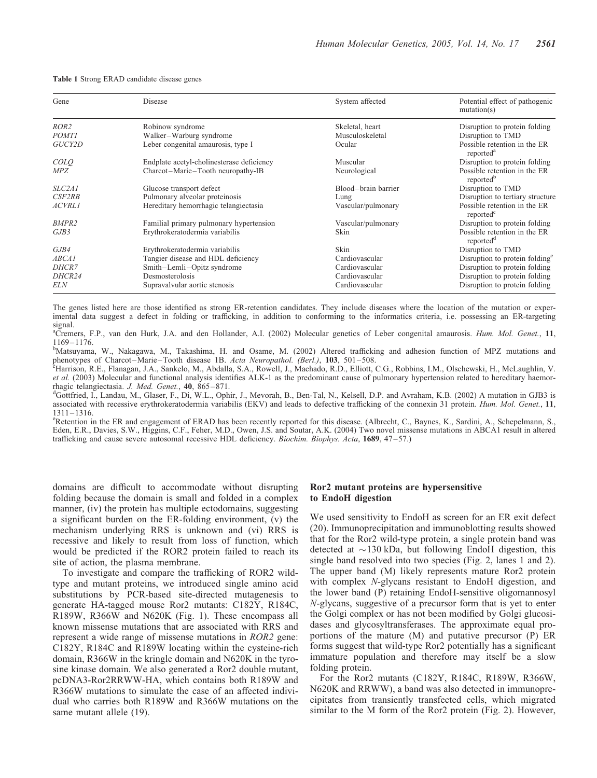Table 1 Strong ERAD candidate disease genes

| Gene               | Disease                                   | System affected     | Potential effect of pathogenic<br>mutation(s)         |
|--------------------|-------------------------------------------|---------------------|-------------------------------------------------------|
| ROR <sub>2</sub>   | Robinow syndrome                          | Skeletal, heart     | Disruption to protein folding                         |
| <b>POMTI</b>       | Walker-Warburg syndrome                   | Musculoskeletal     | Disruption to TMD                                     |
| GUCY2D             | Leber congenital amaurosis, type I        | Ocular              | Possible retention in the ER<br>reported <sup>a</sup> |
| COLO               | Endplate acetyl-cholinesterase deficiency | Muscular            | Disruption to protein folding                         |
| <i>MPZ</i>         | Charcot-Marie-Tooth neuropathy-IB         | Neurological        | Possible retention in the ER<br>reported <sup>b</sup> |
| <i>SLC2A1</i>      | Glucose transport defect                  | Blood-brain barrier | Disruption to TMD                                     |
| CSF <sub>2RB</sub> | Pulmonary alveolar proteinosis            | Lung                | Disruption to tertiary structure                      |
| <b>ACVRL1</b>      | Hereditary hemorrhagic telangiectasia     | Vascular/pulmonary  | Possible retention in the ER<br>reported              |
| BMPR <sub>2</sub>  | Familial primary pulmonary hypertension   | Vascular/pulmonary  | Disruption to protein folding                         |
| GJB3               | Erythrokeratodermia variabilis            | Skin                | Possible retention in the ER<br>reported <sup>d</sup> |
| GJB4               | Erythrokeratodermia variabilis            | Skin                | Disruption to TMD                                     |
| <i>ABCA1</i>       | Tangier disease and HDL deficiency        | Cardiovascular      | Disruption to protein folding <sup>e</sup>            |
| DHCR7              | Smith-Lemli-Opitz syndrome                | Cardiovascular      | Disruption to protein folding                         |
| DHCR24             | Desmosterolosis                           | Cardiovascular      | Disruption to protein folding                         |
| ELN                | Supravalvular aortic stenosis             | Cardiovascular      | Disruption to protein folding                         |

The genes listed here are those identified as strong ER-retention candidates. They include diseases where the location of the mutation or experimental data suggest a defect in folding or trafficking, in addition to conforming to the informatics criteria, i.e. possessing an ER-targeting signal.

<sup>a</sup>Cremers, F.P., van den Hurk, J.A. and den Hollander, A.I. (2002) Molecular genetics of Leber congenital amaurosis. Hum. Mol. Genet., 11, 1169–1176. <sup>b</sup>

<sup>b</sup>Matsuyama, W., Nakagawa, M., Takashima, H. and Osame, M. (2002) Altered trafficking and adhesion function of MPZ mutations and phenotypes of Charcot–Marie–Tooth disease 1B. Acta Neuropathol. (Berl.), 103, 501–508.

Harrison, R.E., Flanagan, J.A., Sankelo, M., Abdalla, S.A., Rowell, J., Machado, R.D., Elliott, C.G., Robbins, I.M., Olschewski, H., McLaughlin, V. et al. (2003) Molecular and functional analysis identifies ALK-1 as the predominant cause of pulmonary hypertension related to hereditary haemorrhagic telangiectasia. J. Med. Genet., 40, 865-871.

<sup>d</sup>Gottfried, I., Landau, M., Glaser, F., Di, W.L., Ophir, J., Mevorah, B., Ben-Tal, N., Kelsell, D.P. and Avraham, K.B. (2002) A mutation in GJB3 is associated with recessive erythrokeratodermia variabilis (EKV) and leads to defective trafficking of the connexin 31 protein. Hum. Mol. Genet., 11,  $1311 - 1316$ .

<sup>e</sup>Retention in the ER and engagement of ERAD has been recently reported for this disease. (Albrecht, C., Baynes, K., Sardini, A., Schepelmann, S., Eden, E.R., Davies, S.W., Higgins, C.F., Feher, M.D., Owen, J.S. and Soutar, A.K. (2004) Two novel missense mutations in ABCA1 result in altered trafficking and cause severe autosomal recessive HDL deficiency. Biochim. Biophys. Acta, 1689, 47–57.)

domains are difficult to accommodate without disrupting folding because the domain is small and folded in a complex manner, (iv) the protein has multiple ectodomains, suggesting a significant burden on the ER-folding environment, (v) the mechanism underlying RRS is unknown and (vi) RRS is recessive and likely to result from loss of function, which would be predicted if the ROR2 protein failed to reach its site of action, the plasma membrane.

To investigate and compare the trafficking of ROR2 wildtype and mutant proteins, we introduced single amino acid substitutions by PCR-based site-directed mutagenesis to generate HA-tagged mouse Ror2 mutants: C182Y, R184C, R189W, R366W and N620K (Fig. 1). These encompass all known missense mutations that are associated with RRS and represent a wide range of missense mutations in ROR2 gene: C182Y, R184C and R189W locating within the cysteine-rich domain, R366W in the kringle domain and N620K in the tyrosine kinase domain. We also generated a Ror2 double mutant, pcDNA3-Ror2RRWW-HA, which contains both R189W and R366W mutations to simulate the case of an affected individual who carries both R189W and R366W mutations on the same mutant allele (19).

## Ror2 mutant proteins are hypersensitive to EndoH digestion

We used sensitivity to EndoH as screen for an ER exit defect (20). Immunoprecipitation and immunoblotting results showed that for the Ror2 wild-type protein, a single protein band was detected at  $\sim$ 130 kDa, but following EndoH digestion, this single band resolved into two species (Fig. 2, lanes 1 and 2). The upper band (M) likely represents mature Ror2 protein with complex N-glycans resistant to EndoH digestion, and the lower band (P) retaining EndoH-sensitive oligomannosyl N-glycans, suggestive of a precursor form that is yet to enter the Golgi complex or has not been modified by Golgi glucosidases and glycosyltransferases. The approximate equal proportions of the mature (M) and putative precursor (P) ER forms suggest that wild-type Ror2 potentially has a significant immature population and therefore may itself be a slow folding protein.

For the Ror2 mutants (C182Y, R184C, R189W, R366W, N620K and RRWW), a band was also detected in immunoprecipitates from transiently transfected cells, which migrated similar to the M form of the Ror2 protein (Fig. 2). However,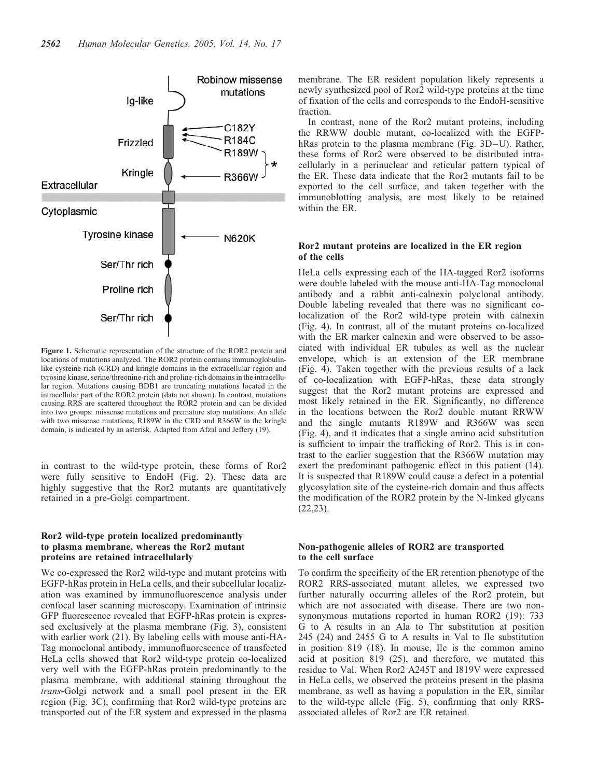

Figure 1. Schematic representation of the structure of the ROR2 protein and locations of mutations analyzed. The ROR2 protein contains immunoglobulinlike cysteine-rich (CRD) and kringle domains in the extracellular region and tyrosine kinase, serine/threonine-rich and proline-rich domains in the intracellular region. Mutations causing BDB1 are truncating mutations located in the intracellular part of the ROR2 protein (data not shown). In contrast, mutations causing RRS are scattered throughout the ROR2 protein and can be divided into two groups: missense mutations and premature stop mutations. An allele with two missense mutations, R189W in the CRD and R366W in the kringle domain, is indicated by an asterisk. Adapted from Afzal and Jeffery (19).

in contrast to the wild-type protein, these forms of Ror2 were fully sensitive to EndoH (Fig. 2). These data are highly suggestive that the Ror2 mutants are quantitatively retained in a pre-Golgi compartment.

## Ror2 wild-type protein localized predominantly to plasma membrane, whereas the Ror2 mutant proteins are retained intracellularly

We co-expressed the Ror2 wild-type and mutant proteins with EGFP-hRas protein in HeLa cells, and their subcellular localization was examined by immunofluorescence analysis under confocal laser scanning microscopy. Examination of intrinsic GFP fluorescence revealed that EGFP-hRas protein is expressed exclusively at the plasma membrane (Fig. 3), consistent with earlier work (21). By labeling cells with mouse anti-HA-Tag monoclonal antibody, immunofluorescence of transfected HeLa cells showed that Ror2 wild-type protein co-localized very well with the EGFP-hRas protein predominantly to the plasma membrane, with additional staining throughout the trans-Golgi network and a small pool present in the ER region (Fig. 3C), confirming that Ror2 wild-type proteins are transported out of the ER system and expressed in the plasma

membrane. The ER resident population likely represents a newly synthesized pool of Ror2 wild-type proteins at the time of fixation of the cells and corresponds to the EndoH-sensitive fraction.

In contrast, none of the Ror2 mutant proteins, including the RRWW double mutant, co-localized with the EGFPhRas protein to the plasma membrane (Fig. 3D–U). Rather, these forms of Ror2 were observed to be distributed intracellularly in a perinuclear and reticular pattern typical of the ER. These data indicate that the Ror2 mutants fail to be exported to the cell surface, and taken together with the immunoblotting analysis, are most likely to be retained within the ER.

## Ror2 mutant proteins are localized in the ER region of the cells

HeLa cells expressing each of the HA-tagged Ror2 isoforms were double labeled with the mouse anti-HA-Tag monoclonal antibody and a rabbit anti-calnexin polyclonal antibody. Double labeling revealed that there was no significant colocalization of the Ror2 wild-type protein with calnexin (Fig. 4). In contrast, all of the mutant proteins co-localized with the ER marker calnexin and were observed to be associated with individual ER tubules as well as the nuclear envelope, which is an extension of the ER membrane (Fig. 4). Taken together with the previous results of a lack of co-localization with EGFP-hRas, these data strongly suggest that the Ror2 mutant proteins are expressed and most likely retained in the ER. Significantly, no difference in the locations between the Ror2 double mutant RRWW and the single mutants R189W and R366W was seen (Fig. 4), and it indicates that a single amino acid substitution is sufficient to impair the trafficking of Ror2. This is in contrast to the earlier suggestion that the R366W mutation may exert the predominant pathogenic effect in this patient (14). It is suspected that R189W could cause a defect in a potential glycosylation site of the cysteine-rich domain and thus affects the modification of the ROR2 protein by the N-linked glycans (22,23).

## Non-pathogenic alleles of ROR2 are transported to the cell surface

To confirm the specificity of the ER retention phenotype of the ROR2 RRS-associated mutant alleles, we expressed two further naturally occurring alleles of the Ror2 protein, but which are not associated with disease. There are two nonsynonymous mutations reported in human ROR2 (19): 733 G to A results in an Ala to Thr substitution at position 245 (24) and 2455 G to A results in Val to Ile substitution in position 819 (18). In mouse, Ile is the common amino acid at position 819 (25), and therefore, we mutated this residue to Val. When Ror2 A245T and I819V were expressed in HeLa cells, we observed the proteins present in the plasma membrane, as well as having a population in the ER, similar to the wild-type allele (Fig. 5), confirming that only RRSassociated alleles of Ror2 are ER retained.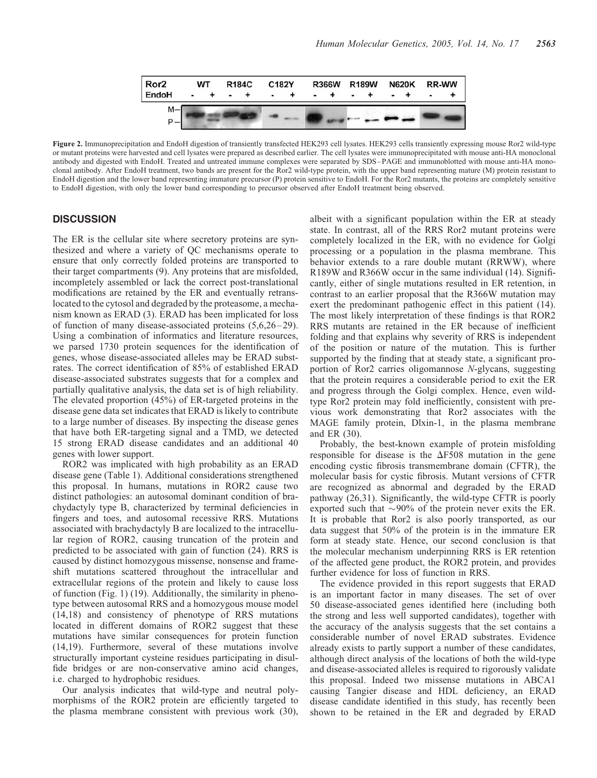

Figure 2. Immunoprecipitation and EndoH digestion of transiently transfected HEK293 cell lysates. HEK293 cells transiently expressing mouse Ror2 wild-type or mutant proteins were harvested and cell lysates were prepared as described earlier. The cell lysates were immunoprecipitated with mouse anti-HA monoclonal antibody and digested with EndoH. Treated and untreated immune complexes were separated by SDS–PAGE and immunoblotted with mouse anti-HA monoclonal antibody. After EndoH treatment, two bands are present for the Ror2 wild-type protein, with the upper band representing mature (M) protein resistant to EndoH digestion and the lower band representing immature precursor (P) protein sensitive to EndoH. For the Ror2 mutants, the proteins are completely sensitive to EndoH digestion, with only the lower band corresponding to precursor observed after EndoH treatment being observed.

## **DISCUSSION**

The ER is the cellular site where secretory proteins are synthesized and where a variety of QC mechanisms operate to ensure that only correctly folded proteins are transported to their target compartments (9). Any proteins that are misfolded, incompletely assembled or lack the correct post-translational modifications are retained by the ER and eventually retranslocated to the cytosol and degraded by the proteasome, a mechanism known as ERAD (3). ERAD has been implicated for loss of function of many disease-associated proteins (5,6,26–29). Using a combination of informatics and literature resources, we parsed 1730 protein sequences for the identification of genes, whose disease-associated alleles may be ERAD substrates. The correct identification of 85% of established ERAD disease-associated substrates suggests that for a complex and partially qualitative analysis, the data set is of high reliability. The elevated proportion (45%) of ER-targeted proteins in the disease gene data set indicates that ERAD is likely to contribute to a large number of diseases. By inspecting the disease genes that have both ER-targeting signal and a TMD, we detected 15 strong ERAD disease candidates and an additional 40 genes with lower support.

ROR2 was implicated with high probability as an ERAD disease gene (Table 1). Additional considerations strengthened this proposal. In humans, mutations in ROR2 cause two distinct pathologies: an autosomal dominant condition of brachydactyly type B, characterized by terminal deficiencies in fingers and toes, and autosomal recessive RRS. Mutations associated with brachydactyly B are localized to the intracellular region of ROR2, causing truncation of the protein and predicted to be associated with gain of function (24). RRS is caused by distinct homozygous missense, nonsense and frameshift mutations scattered throughout the intracellular and extracellular regions of the protein and likely to cause loss of function (Fig. 1) (19). Additionally, the similarity in phenotype between autosomal RRS and a homozygous mouse model (14,18) and consistency of phenotype of RRS mutations located in different domains of ROR2 suggest that these mutations have similar consequences for protein function (14,19). Furthermore, several of these mutations involve structurally important cysteine residues participating in disulfide bridges or are non-conservative amino acid changes, i.e. charged to hydrophobic residues.

Our analysis indicates that wild-type and neutral polymorphisms of the ROR2 protein are efficiently targeted to the plasma membrane consistent with previous work (30),

albeit with a significant population within the ER at steady state. In contrast, all of the RRS Ror2 mutant proteins were completely localized in the ER, with no evidence for Golgi processing or a population in the plasma membrane. This behavior extends to a rare double mutant (RRWW), where R189W and R366W occur in the same individual (14). Significantly, either of single mutations resulted in ER retention, in contrast to an earlier proposal that the R366W mutation may exert the predominant pathogenic effect in this patient (14). The most likely interpretation of these findings is that ROR2 RRS mutants are retained in the ER because of inefficient folding and that explains why severity of RRS is independent of the position or nature of the mutation. This is further supported by the finding that at steady state, a significant proportion of Ror2 carries oligomannose N-glycans, suggesting that the protein requires a considerable period to exit the ER and progress through the Golgi complex. Hence, even wildtype Ror2 protein may fold inefficiently, consistent with previous work demonstrating that Ror2 associates with the MAGE family protein, Dlxin-1, in the plasma membrane and ER (30).

Probably, the best-known example of protein misfolding responsible for disease is the  $\Delta$ F508 mutation in the gene encoding cystic fibrosis transmembrane domain (CFTR), the molecular basis for cystic fibrosis. Mutant versions of CFTR are recognized as abnormal and degraded by the ERAD pathway (26,31). Significantly, the wild-type CFTR is poorly exported such that  $\sim$ 90% of the protein never exits the ER. It is probable that Ror2 is also poorly transported, as our data suggest that 50% of the protein is in the immature ER form at steady state. Hence, our second conclusion is that the molecular mechanism underpinning RRS is ER retention of the affected gene product, the ROR2 protein, and provides further evidence for loss of function in RRS.

The evidence provided in this report suggests that ERAD is an important factor in many diseases. The set of over 50 disease-associated genes identified here (including both the strong and less well supported candidates), together with the accuracy of the analysis suggests that the set contains a considerable number of novel ERAD substrates. Evidence already exists to partly support a number of these candidates, although direct analysis of the locations of both the wild-type and disease-associated alleles is required to rigorously validate this proposal. Indeed two missense mutations in ABCA1 causing Tangier disease and HDL deficiency, an ERAD disease candidate identified in this study, has recently been shown to be retained in the ER and degraded by ERAD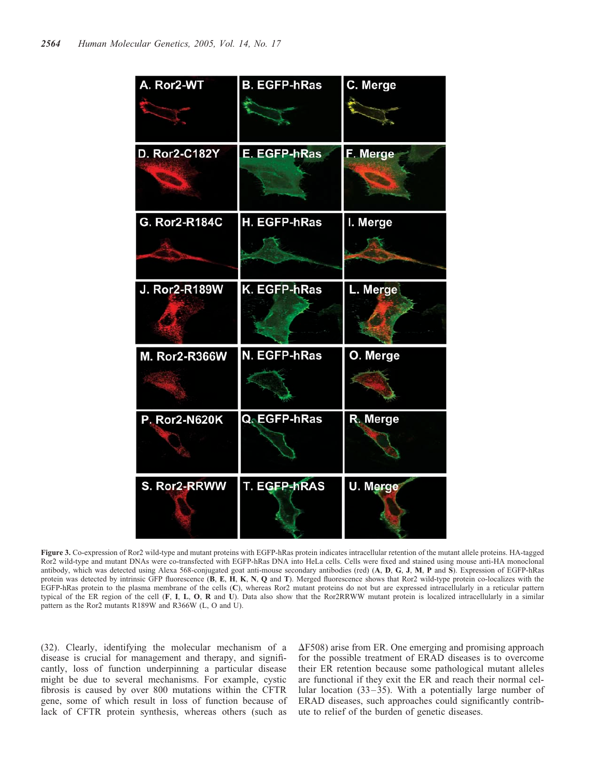| A. Ror2-WT           | <b>B. EGFP-hRas</b> | C. Merge |
|----------------------|---------------------|----------|
| <b>D. Ror2-C182Y</b> | E. EGFP-hRas        | F. Merge |
| G. Ror2-R184C        | H. EGFP-hRas        | I. Merge |
| <b>J. Ror2-R189W</b> | K. EGFP-hRas        | L. Merge |
| <b>M. Ror2-R366W</b> | N. EGFP-hRas        | O. Merge |
| P. Ror2-N620K        | Q. EGFP-hRas        | R. Merge |
| S. Ror2-RRWW         | <b>T. EGFP-hRAS</b> | U. Merge |

Figure 3. Co-expression of Ror2 wild-type and mutant proteins with EGFP-hRas protein indicates intracellular retention of the mutant allele proteins. HA-tagged Ror2 wild-type and mutant DNAs were co-transfected with EGFP-hRas DNA into HeLa cells. Cells were fixed and stained using mouse anti-HA monoclonal antibody, which was detected using Alexa 568-conjugated goat anti-mouse secondary antibodies (red) (A, D, G, J, M, P and S). Expression of EGFP-hRas protein was detected by intrinsic GFP fluorescence (B, E, H, K, N, Q and T). Merged fluorescence shows that Ror2 wild-type protein co-localizes with the EGFP-hRas protein to the plasma membrane of the cells (C), whereas Ror2 mutant proteins do not but are expressed intracellularly in a reticular pattern typical of the ER region of the cell (F, I, L, O, R and U). Data also show that the Ror2RRWW mutant protein is localized intracellularly in a similar pattern as the Ror2 mutants R189W and R366W (L, O and U).

(32). Clearly, identifying the molecular mechanism of a disease is crucial for management and therapy, and significantly, loss of function underpinning a particular disease might be due to several mechanisms. For example, cystic fibrosis is caused by over 800 mutations within the CFTR gene, some of which result in loss of function because of lack of CFTR protein synthesis, whereas others (such as

 $\Delta$ F508) arise from ER. One emerging and promising approach for the possible treatment of ERAD diseases is to overcome their ER retention because some pathological mutant alleles are functional if they exit the ER and reach their normal cellular location (33–35). With a potentially large number of ERAD diseases, such approaches could significantly contribute to relief of the burden of genetic diseases.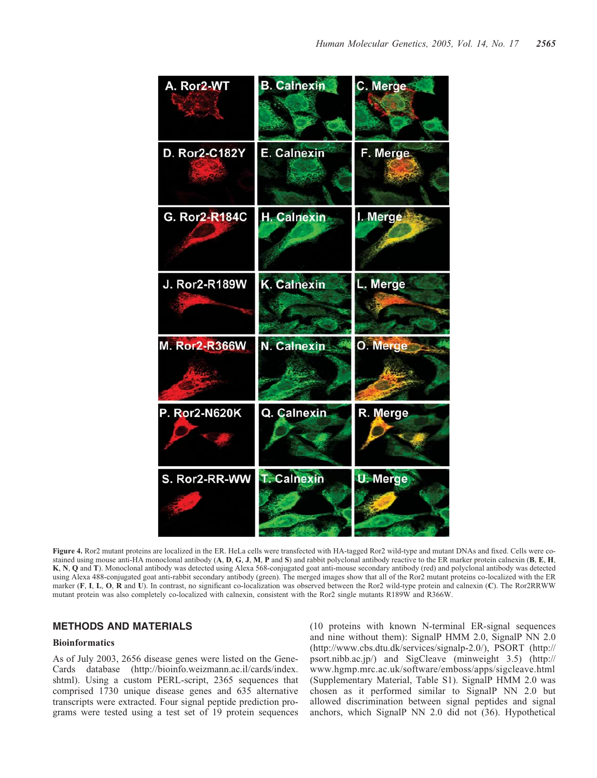

Figure 4. Ror2 mutant proteins are localized in the ER. HeLa cells were transfected with HA-tagged Ror2 wild-type and mutant DNAs and fixed. Cells were costained using mouse anti-HA monoclonal antibody  $(A, D, G, J, M, P$  and  $S)$  and rabbit polyclonal antibody reactive to the ER marker protein calnexin  $(B, E, H, P)$ K, N, Q and T). Monoclonal antibody was detected using Alexa 568-conjugated goat anti-mouse secondary antibody (red) and polyclonal antibody was detected using Alexa 488-conjugated goat anti-rabbit secondary antibody (green). The merged images show that all of the Ror2 mutant proteins co-localized with the ER marker (F, I, L, O, R and U). In contrast, no significant co-localization was observed between the Ror2 wild-type protein and calnexin (C). The Ror2RRWW mutant protein was also completely co-localized with calnexin, consistent with the Ror2 single mutants R189W and R366W.

## METHODS AND MATERIALS

#### **Bioinformatics**

As of July 2003, 2656 disease genes were listed on the Gene-Cards database (http://bioinfo.weizmann.ac.il/cards/index. shtml). Using a custom PERL-script, 2365 sequences that comprised 1730 unique disease genes and 635 alternative transcripts were extracted. Four signal peptide prediction programs were tested using a test set of 19 protein sequences

(10 proteins with known N-terminal ER-signal sequences and nine without them): SignalP HMM 2.0, SignalP NN 2.0 (http://www.cbs.dtu.dk/services/signalp-2.0/), PSORT (http:// psort.nibb.ac.jp/) and SigCleave (minweight 3.5) (http:// www.hgmp.mrc.ac.uk/software/emboss/apps/sigcleave.html (Supplementary Material, Table S1). SignalP HMM 2.0 was chosen as it performed similar to SignalP NN 2.0 but allowed discrimination between signal peptides and signal anchors, which SignalP NN 2.0 did not (36). Hypothetical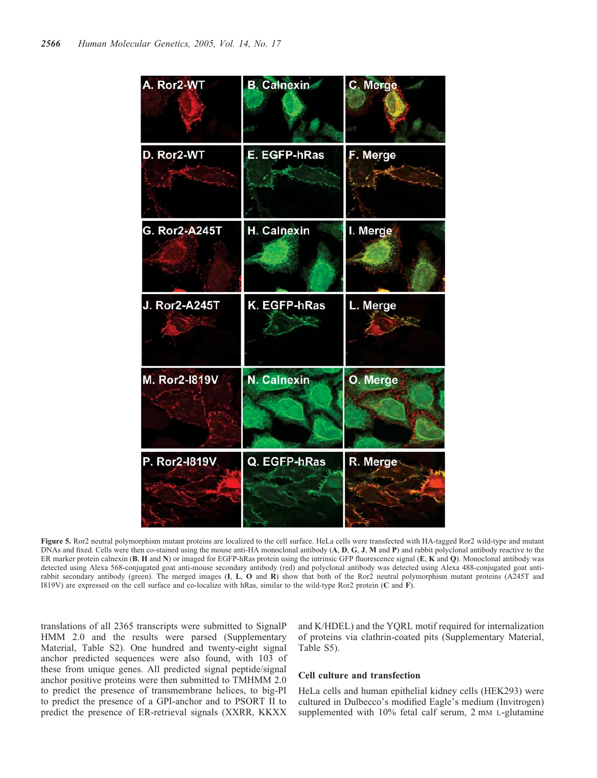![](_page_7_Figure_1.jpeg)

Figure 5. Ror2 neutral polymorphism mutant proteins are localized to the cell surface. HeLa cells were transfected with HA-tagged Ror2 wild-type and mutant DNAs and fixed. Cells were then co-stained using the mouse anti-HA monoclonal antibody (A, D, G, J, M and P) and rabbit polyclonal antibody reactive to the ER marker protein calnexin (B, H and N) or imaged for EGFP-hRas protein using the intrinsic GFP fluorescence signal (E, K and Q). Monoclonal antibody was detected using Alexa 568-conjugated goat anti-mouse secondary antibody (red) and polyclonal antibody was detected using Alexa 488-conjugated goat antirabbit secondary antibody (green). The merged images (I, L, O and R) show that both of the Ror2 neutral polymorphism mutant proteins (A245T and I819V) are expressed on the cell surface and co-localize with hRas, similar to the wild-type Ror2 protein (C and F).

translations of all 2365 transcripts were submitted to SignalP HMM 2.0 and the results were parsed (Supplementary Material, Table S2). One hundred and twenty-eight signal anchor predicted sequences were also found, with 103 of these from unique genes. All predicted signal peptide/signal anchor positive proteins were then submitted to TMHMM 2.0 to predict the presence of transmembrane helices, to big-PI to predict the presence of a GPI-anchor and to PSORT II to predict the presence of ER-retrieval signals (XXRR, KKXX and K/HDEL) and the YQRL motif required for internalization of proteins via clathrin-coated pits (Supplementary Material, Table S5).

#### Cell culture and transfection

HeLa cells and human epithelial kidney cells (HEK293) were cultured in Dulbecco's modified Eagle's medium (Invitrogen) supplemented with 10% fetal calf serum, 2 mm L-glutamine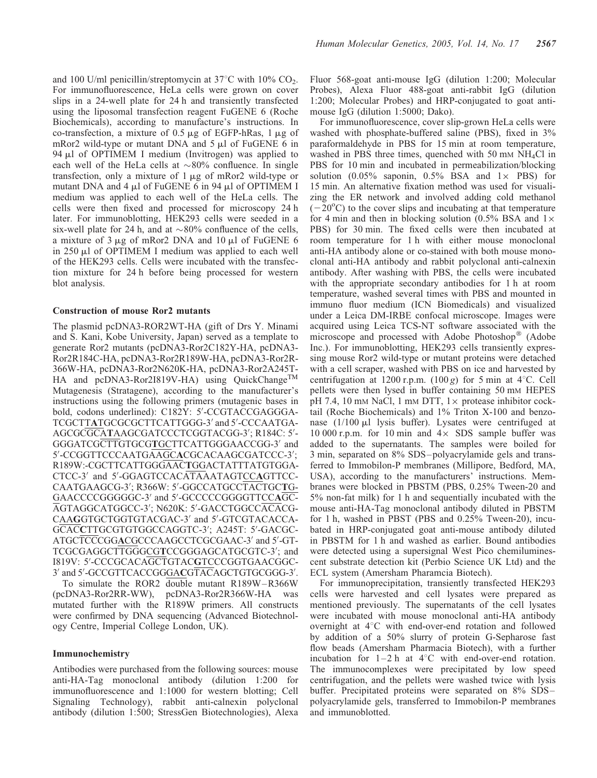and 100 U/ml penicillin/streptomycin at  $37^{\circ}$ C with  $10\%$  CO<sub>2</sub>. For immunofluorescence, HeLa cells were grown on cover slips in a 24-well plate for 24 h and transiently transfected using the liposomal transfection reagent FuGENE 6 (Roche Biochemicals), according to manufacture's instructions. In co-transfection, a mixture of  $0.5 \mu g$  of EGFP-hRas,  $1 \mu g$  of mRor2 wild-type or mutant DNA and  $5 \mu$ l of FuGENE 6 in 94  $\mu$ l of OPTIMEM I medium (Invitrogen) was applied to each well of the HeLa cells at  $\sim 80\%$  confluence. In single transfection, only a mixture of  $1 \mu$ g of mRor2 wild-type or mutant DNA and  $4 \mu l$  of FuGENE 6 in 94  $\mu l$  of OPTIMEM I medium was applied to each well of the HeLa cells. The cells were then fixed and processed for microscopy 24 h later. For immunoblotting, HEK293 cells were seeded in a six-well plate for 24 h, and at  $\sim 80\%$  confluence of the cells, a mixture of  $3 \mu$ g of mRor2 DNA and  $10 \mu$ l of FuGENE 6 in  $250 \mu l$  of OPTIMEM I medium was applied to each well of the HEK293 cells. Cells were incubated with the transfection mixture for 24 h before being processed for western blot analysis.

## Construction of mouse Ror2 mutants

The plasmid pcDNA3-ROR2WT-HA (gift of Drs Y. Minami and S. Kani, Kobe University, Japan) served as a template to generate Ror2 mutants (pcDNA3-Ror2C182Y-HA, pcDNA3- Ror2R184C-HA, pcDNA3-Ror2R189W-HA, pcDNA3-Ror2R-366W-HA, pcDNA3-Ror2N620K-HA, pcDNA3-Ror2A245T-HA and pcDNA3-Ror2I819V-HA) using QuickChange<sup>TM</sup> Mutagenesis (Stratagene), according to the manufacturer's instructions using the following primers (mutagenic bases in bold, codons underlined): C182Y: 5'-CCGTACCGAGGGA-TCGCTTATGCGCGCTTCATTGGG-3' and 5'-CCCAATGA-AGCGCGCATAAGCGATCCCTCGGTACGG-3'; R184C: 5'-GGGATCGCTTGTGCGTGCTTCATTGGGAACCGG-3' and 5'-CCGGTTCCCAATGAAGCACGCACAAGCGATCCC-3'; R189W:-CGCTTCATTGGGAACTGGACTATTTATGTGGA-CTCC-3' and 5'-GGAGTCCACATAAATAGTCCAGTTCC-CAATGAAGCG-3'; R366W: 5'-GGCCATGCCTACTGCTG-GAACCCCGGGGGC-3' and 5'-GCCCCCGGGGTTCCAGC-AGTAGGCATGGCC-3'; N620K: 5'-GACCTGGCCACACG-CAAGGTGCTGGTGTACGAC-3' and 5'-GTCGTACACCA-GCACCTTGCGTGTGGCCAGGTC-3'; A245T: 5'-GACGC-ATGCTCCCGGACGCCCAAGCCTCGCGAAC-3' and 5'-GT-TCGCGAGGCTTGGGCGTCCGGGAGCATGCGTC-3'; and I819V: 5'-CCCGCACAGCTGTAC**G**TCCCGGTGAACGGC-3' and 5'-GCCGTTCACCGGGACGTACAGCTGTGCGGG-3'.

To simulate the ROR2 double mutant R189W–R366W (pcDNA3-Ror2RR-WW), pcDNA3-Ror2R366W-HA was mutated further with the R189W primers. All constructs were confirmed by DNA sequencing (Advanced Biotechnology Centre, Imperial College London, UK).

#### Immunochemistry

Antibodies were purchased from the following sources: mouse anti-HA-Tag monoclonal antibody (dilution 1:200 for immunofluorescence and 1:1000 for western blotting; Cell Signaling Technology), rabbit anti-calnexin polyclonal antibody (dilution 1:500; StressGen Biotechnologies), Alexa Fluor 568-goat anti-mouse IgG (dilution 1:200; Molecular Probes), Alexa Fluor 488-goat anti-rabbit IgG (dilution 1:200; Molecular Probes) and HRP-conjugated to goat antimouse IgG (dilution 1:5000; Dako).

For immunofluorescence, cover slip-grown HeLa cells were washed with phosphate-buffered saline (PBS), fixed in 3% paraformaldehyde in PBS for 15 min at room temperature, washed in PBS three times, quenched with 50 mM NH<sub>4</sub>Cl in PBS for 10 min and incubated in permeabilization/blocking solution  $(0.05\%$  saponin,  $0.5\%$  BSA and  $1\times$  PBS) for 15 min. An alternative fixation method was used for visualizing the ER network and involved adding cold methanol  $(-20^{\circ}$ C) to the cover slips and incubating at that temperature for 4 min and then in blocking solution (0.5% BSA and  $1 \times$ PBS) for 30 min. The fixed cells were then incubated at room temperature for 1 h with either mouse monoclonal anti-HA antibody alone or co-stained with both mouse monoclonal anti-HA antibody and rabbit polyclonal anti-calnexin antibody. After washing with PBS, the cells were incubated with the appropriate secondary antibodies for 1 h at room temperature, washed several times with PBS and mounted in immuno fluor medium (ICN Biomedicals) and visualized under a Leica DM-IRBE confocal microscope. Images were acquired using Leica TCS-NT software associated with the microscope and processed with Adobe Photoshop<sup>®</sup> (Adobe Inc.). For immunoblotting, HEK293 cells transiently expressing mouse Ror2 wild-type or mutant proteins were detached with a cell scraper, washed with PBS on ice and harvested by centrifugation at 1200 r.p.m.  $(100 g)$  for 5 min at 4°C. Cell pellets were then lysed in buffer containing 50 mM HEPES pH 7.4, 10 mm NaCl, 1 mm DTT,  $1 \times$  protease inhibitor cocktail (Roche Biochemicals) and 1% Triton X-100 and benzonase  $(1/100 \mu l)$  lysis buffer). Lysates were centrifuged at 10 000 r.p.m. for 10 min and  $4 \times$  SDS sample buffer was added to the supernatants. The samples were boiled for 3 min, separated on 8% SDS–polyacrylamide gels and transferred to Immobilon-P membranes (Millipore, Bedford, MA, USA), according to the manufacturers' instructions. Membranes were blocked in PBSTM (PBS, 0.25% Tween-20 and 5% non-fat milk) for 1 h and sequentially incubated with the mouse anti-HA-Tag monoclonal antibody diluted in PBSTM for 1 h, washed in PBST (PBS and 0.25% Tween-20), incubated in HRP-conjugated goat anti-mouse antibody diluted in PBSTM for 1 h and washed as earlier. Bound antibodies were detected using a supersignal West Pico chemiluminescent substrate detection kit (Perbio Science UK Ltd) and the ECL system (Amersham Pharamcia Biotech).

For immunoprecipitation, transiently transfected HEK293 cells were harvested and cell lysates were prepared as mentioned previously. The supernatants of the cell lysates were incubated with mouse monoclonal anti-HA antibody overnight at  $4^{\circ}$ C with end-over-end rotation and followed by addition of a 50% slurry of protein G-Sepharose fast flow beads (Amersham Pharmacia Biotech), with a further incubation for  $1-2 h$  at  $4^{\circ}$ C with end-over-end rotation. The immunocomplexes were precipitated by low speed centrifugation, and the pellets were washed twice with lysis buffer. Precipitated proteins were separated on 8% SDS– polyacrylamide gels, transferred to Immobilon-P membranes and immunoblotted.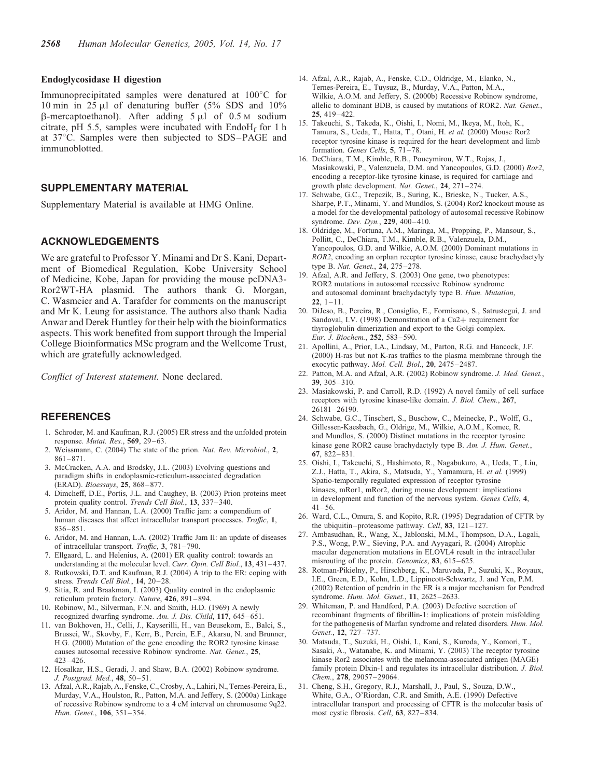#### Endoglycosidase H digestion

Immunoprecipitated samples were denatured at  $100^{\circ}$ C for 10 min in 25  $\mu$ l of denaturing buffer (5% SDS and 10%  $\beta$ -mercaptoethanol). After adding 5  $\mu$ l of 0.5 M sodium citrate, pH 5.5, samples were incubated with  $End_6H_f$  for 1 h at 37°C. Samples were then subjected to SDS–PAGE and immunoblotted.

## SUPPLEMENTARY MATERIAL

Supplementary Material is available at HMG Online.

## ACKNOWLEDGEMENTS

We are grateful to Professor Y. Minami and Dr S. Kani, Department of Biomedical Regulation, Kobe University School of Medicine, Kobe, Japan for providing the mouse pcDNA3- Ror2WT-HA plasmid. The authors thank G. Morgan, C. Wasmeier and A. Tarafder for comments on the manuscript and Mr K. Leung for assistance. The authors also thank Nadia Anwar and Derek Huntley for their help with the bioinformatics aspects. This work benefited from support through the Imperial College Bioinformatics MSc program and the Wellcome Trust, which are gratefully acknowledged.

Conflict of Interest statement. None declared.

#### REFERENCES

- 1. Schroder, M. and Kaufman, R.J. (2005) ER stress and the unfolded protein response. Mutat. Res., 569, 29–63.
- 2. Weissmann, C. (2004) The state of the prion. Nat. Rev. Microbiol., 2, 861–871.
- 3. McCracken, A.A. and Brodsky, J.L. (2003) Evolving questions and paradigm shifts in endoplasmic-reticulum-associated degradation (ERAD). Bioessays, 25, 868–877.
- 4. Dimcheff, D.E., Portis, J.L. and Caughey, B. (2003) Prion proteins meet protein quality control. Trends Cell Biol., 13, 337–340.
- 5. Aridor, M. and Hannan, L.A. (2000) Traffic jam: a compendium of human diseases that affect intracellular transport processes. Traffic, 1, 836–851.
- 6. Aridor, M. and Hannan, L.A. (2002) Traffic Jam II: an update of diseases of intracellular transport. Traffic, 3, 781–790.
- 7. Ellgaard, L. and Helenius, A. (2001) ER quality control: towards an understanding at the molecular level. Curr. Opin. Cell Biol., 13, 431–437.
- 8. Rutkowski, D.T. and Kaufman, R.J. (2004) A trip to the ER: coping with stress. Trends Cell Biol., 14, 20–28.
- 9. Sitia, R. and Braakman, I. (2003) Quality control in the endoplasmic reticulum protein factory. Nature, 426, 891–894.
- 10. Robinow, M., Silverman, F.N. and Smith, H.D. (1969) A newly recognized dwarfing syndrome. Am. J. Dis. Child, 117, 645–651.
- 11. van Bokhoven, H., Celli, J., Kayserilli, H., van Beusekom, E., Balci, S., Brussei, W., Skovby, F., Kerr, B., Percin, E.F., Akarsu, N. and Brunner, H.G. (2000) Mutation of the gene encoding the ROR2 tyrosine kinase causes autosomal recessive Robinow syndrome. Nat. Genet., 25,  $423 - 426$
- 12. Hosalkar, H.S., Geradi, J. and Shaw, B.A. (2002) Robinow syndrome. J. Postgrad. Med., 48, 50–51.
- 13. Afzal, A.R.,Rajab, A., Fenske, C.,Crosby, A., Lahiri, N., Ternes-Pereira, E., Murday, V.A., Houlston, R., Patton, M.A. and Jeffery, S. (2000a) Linkage of recessive Robinow syndrome to a 4 cM interval on chromosome 9q22. Hum. Genet., 106, 351–354.
- 14. Afzal, A.R., Rajab, A., Fenske, C.D., Oldridge, M., Elanko, N., Ternes-Pereira, E., Tuysuz, B., Murday, V.A., Patton, M.A., Wilkie, A.O.M. and Jeffery, S. (2000b) Recessive Robinow syndrome, allelic to dominant BDB, is caused by mutations of ROR2. Nat. Genet., 25, 419–422.
- 15. Takeuchi, S., Takeda, K., Oishi, I., Nomi, M., Ikeya, M., Itoh, K., Tamura, S., Ueda, T., Hatta, T., Otani, H. et al. (2000) Mouse Ror2 receptor tyrosine kinase is required for the heart development and limb formation. Genes Cells, 5, 71–78.
- 16. DeChiara, T.M., Kimble, R.B., Poueymirou, W.T., Rojas, J., Masiakowski, P., Valenzuela, D.M. and Yancopoulos, G.D. (2000) Ror2, encoding a receptor-like tyrosine kinase, is required for cartilage and growth plate development. Nat. Genet., 24, 271-274.
- 17. Schwabe, G.C., Trepczik, B., Suring, K., Brieske, N., Tucker, A.S., Sharpe, P.T., Minami, Y. and Mundlos, S. (2004) Ror2 knockout mouse as a model for the developmental pathology of autosomal recessive Robinow syndrome. Dev. Dyn., 229, 400–410.
- 18. Oldridge, M., Fortuna, A.M., Maringa, M., Propping, P., Mansour, S., Pollitt, C., DeChiara, T.M., Kimble, R.B., Valenzuela, D.M., Yancopoulos, G.D. and Wilkie, A.O.M. (2000) Dominant mutations in ROR2, encoding an orphan receptor tyrosine kinase, cause brachydactyly type B. Nat. Genet., 24, 275–278.
- 19. Afzal, A.R. and Jeffery, S. (2003) One gene, two phenotypes: ROR2 mutations in autosomal recessive Robinow syndrome and autosomal dominant brachydactyly type B. Hum. Mutation,  $22, 1-11.$
- 20. DiJeso, B., Pereira, R., Consiglio, E., Formisano, S., Satrustegui, J. and Sandoval, I.V. (1998) Demonstration of a Ca2+ requirement for thyroglobulin dimerization and export to the Golgi complex. Eur. J. Biochem., 252, 583–590.
- 21. Apollini, A., Prior, I.A., Lindsay, M., Parton, R.G. and Hancock, J.F. (2000) H-ras but not K-ras traffics to the plasma membrane through the exocytic pathway. Mol. Cell. Biol., 20, 2475–2487.
- 22. Patton, M.A. and Afzal, A.R. (2002) Robinow syndrome. J. Med. Genet., 39, 305–310.
- 23. Masiakowski, P. and Carroll, R.D. (1992) A novel family of cell surface receptors with tyrosine kinase-like domain. J. Biol. Chem., 267, 26181–26190.
- 24. Schwabe, G.C., Tinschert, S., Buschow, C., Meinecke, P., Wolff, G., Gillessen-Kaesbach, G., Oldrige, M., Wilkie, A.O.M., Komec, R. and Mundlos, S. (2000) Distinct mutations in the receptor tyrosine kinase gene ROR2 cause brachydactyly type B. Am. J. Hum. Genet., 67, 822–831.
- 25. Oishi, I., Takeuchi, S., Hashimoto, R., Nagabukuro, A., Ueda, T., Liu, Z.J., Hatta, T., Akira, S., Matsuda, Y., Yamamura, H. et al. (1999) Spatio-temporally regulated expression of receptor tyrosine kinases, mRor1, mRor2, during mouse development: implications in development and function of the nervous system. Genes Cells, 4,  $41 - 56$ .
- 26. Ward, C.L., Omura, S. and Kopito, R.R. (1995) Degradation of CFTR by the ubiquitin–proteasome pathway. Cell, 83, 121–127.
- 27. Ambasudhan, R., Wang, X., Jablonski, M.M., Thompson, D.A., Lagali, P.S., Wong, P.W., Sieving, P.A. and Ayyagari, R. (2004) Atrophic macular degeneration mutations in ELOVL4 result in the intracellular misrouting of the protein. Genomics, 83, 615–625.
- 28. Rotman-Pikielny, P., Hirschberg, K., Maruvada, P., Suzuki, K., Royaux, I.E., Green, E.D., Kohn, L.D., Lippincott-Schwartz, J. and Yen, P.M. (2002) Retention of pendrin in the ER is a major mechanism for Pendred syndrome. Hum. Mol. Genet., 11, 2625-2633.
- 29. Whiteman, P. and Handford, P.A. (2003) Defective secretion of recombinant fragments of fibrillin-1: implications of protein misfolding for the pathogenesis of Marfan syndrome and related disorders. Hum. Mol. Genet., 12, 727–737.
- 30. Matsuda, T., Suzuki, H., Oishi, I., Kani, S., Kuroda, Y., Komori, T., Sasaki, A., Watanabe, K. and Minami, Y. (2003) The receptor tyrosine kinase Ror2 associates with the melanoma-associated antigen (MAGE) family protein Dlxin-1 and regulates its intracellular distribution. J. Biol. Chem., 278, 29057–29064.
- 31. Cheng, S.H., Gregory, R.J., Marshall, J., Paul, S., Souza, D.W., White, G.A., O'Riordan, C.R. and Smith, A.E. (1990) Defective intracellular transport and processing of CFTR is the molecular basis of most cystic fibrosis. Cell, 63, 827–834.